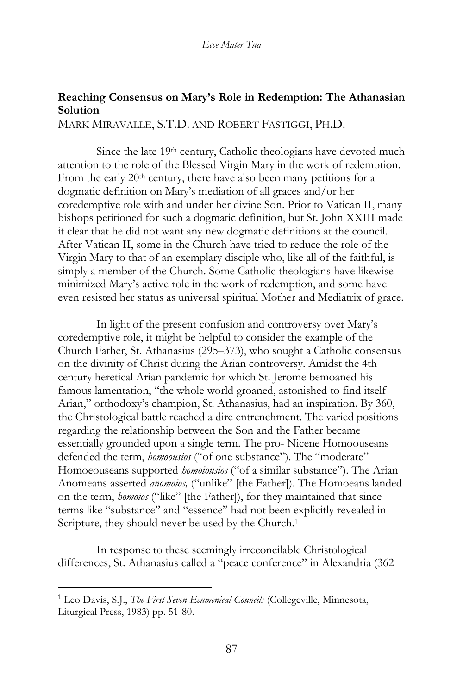# **Reaching Consensus on Mary's Role in Redemption: The Athanasian Solution**

MARK MIRAVALLE, S.T.D. AND ROBERT FASTIGGI, PH.D.

Since the late 19<sup>th</sup> century, Catholic theologians have devoted much attention to the role of the Blessed Virgin Mary in the work of redemption. From the early 20<sup>th</sup> century, there have also been many petitions for a dogmatic definition on Mary's mediation of all graces and/or her coredemptive role with and under her divine Son. Prior to Vatican II, many bishops petitioned for such a dogmatic definition, but St. John XXIII made it clear that he did not want any new dogmatic definitions at the council. After Vatican II, some in the Church have tried to reduce the role of the Virgin Mary to that of an exemplary disciple who, like all of the faithful, is simply a member of the Church. Some Catholic theologians have likewise minimized Mary's active role in the work of redemption, and some have even resisted her status as universal spiritual Mother and Mediatrix of grace.

In light of the present confusion and controversy over Mary's coredemptive role, it might be helpful to consider the example of the Church Father, St. Athanasius (295–373), who sought a Catholic consensus on the divinity of Christ during the Arian controversy. Amidst the 4th century heretical Arian pandemic for which St. Jerome bemoaned his famous lamentation, "the whole world groaned, astonished to find itself Arian," orthodoxy's champion, St. Athanasius, had an inspiration. By 360, the Christological battle reached a dire entrenchment. The varied positions regarding the relationship between the Son and the Father became essentially grounded upon a single term. The pro- Nicene Homoouseans defended the term, *homoousios* ("of one substance"). The "moderate" Homoeouseans supported *homoiousios* ("of a similar substance"). The Arian Anomeans asserted *anomoios,* ("unlike" [the Father]). The Homoeans landed on the term, *homoios* ("like" [the Father]), for they maintained that since terms like "substance" and "essence" had not been explicitly revealed in Scripture, they should never be used by the Church.<sup>1</sup>

In response to these seemingly irreconcilable Christological differences, St. Athanasius called a "peace conference" in Alexandria (362

<sup>1</sup> Leo Davis, S.J., *The First Seven Ecumenical Councils* (Collegeville, Minnesota, Liturgical Press, 1983) pp. 51-80.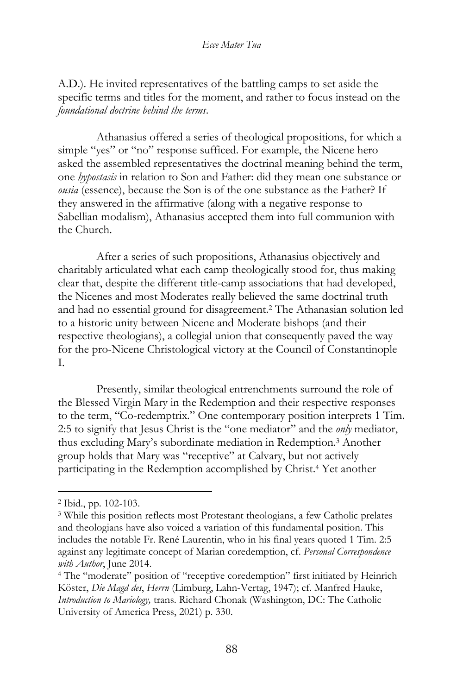A.D.). He invited representatives of the battling camps to set aside the specific terms and titles for the moment, and rather to focus instead on the *foundational doctrine behind the terms*.

Athanasius offered a series of theological propositions, for which a simple "yes" or "no" response sufficed. For example, the Nicene hero asked the assembled representatives the doctrinal meaning behind the term, one *hypostasis* in relation to Son and Father: did they mean one substance or *ousia* (essence), because the Son is of the one substance as the Father? If they answered in the affirmative (along with a negative response to Sabellian modalism), Athanasius accepted them into full communion with the Church.

After a series of such propositions, Athanasius objectively and charitably articulated what each camp theologically stood for, thus making clear that, despite the different title-camp associations that had developed, the Nicenes and most Moderates really believed the same doctrinal truth and had no essential ground for disagreement.<sup>2</sup> The Athanasian solution led to a historic unity between Nicene and Moderate bishops (and their respective theologians), a collegial union that consequently paved the way for the pro-Nicene Christological victory at the Council of Constantinople I.

Presently, similar theological entrenchments surround the role of the Blessed Virgin Mary in the Redemption and their respective responses to the term, "Co-redemptrix." One contemporary position interprets 1 Tim. 2:5 to signify that Jesus Christ is the "one mediator" and the *only* mediator, thus excluding Mary's subordinate mediation in Redemption.<sup>3</sup> Another group holds that Mary was "receptive" at Calvary, but not actively participating in the Redemption accomplished by Christ.<sup>4</sup> Yet another

<sup>2</sup> Ibid., pp. 102-103.

<sup>3</sup> While this position reflects most Protestant theologians, a few Catholic prelates and theologians have also voiced a variation of this fundamental position. This includes the notable Fr. René Laurentin, who in his final years quoted 1 Tim. 2:5 against any legitimate concept of Marian coredemption, cf. *Personal Correspondence with Author*, June 2014.

<sup>4</sup> The "moderate" position of "receptive coredemption" first initiated by Heinrich Köster, *Die Magd des*, *Herrn* (Limburg, Lahn-Vertag, 1947); cf. Manfred Hauke, *Introduction to Mariology,* trans. Richard Chonak (Washington, DC: The Catholic University of America Press, 2021) p. 330.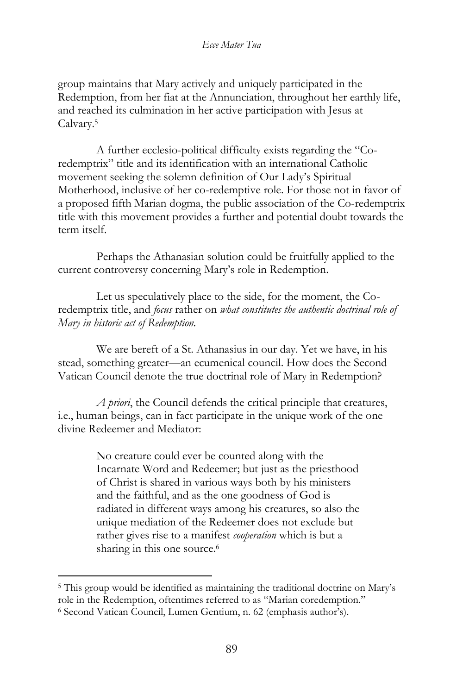group maintains that Mary actively and uniquely participated in the Redemption, from her fiat at the Annunciation, throughout her earthly life, and reached its culmination in her active participation with Jesus at Calvary.<sup>5</sup>

A further ecclesio-political difficulty exists regarding the "Coredemptrix" title and its identification with an international Catholic movement seeking the solemn definition of Our Lady's Spiritual Motherhood, inclusive of her co-redemptive role. For those not in favor of a proposed fifth Marian dogma, the public association of the Co-redemptrix title with this movement provides a further and potential doubt towards the term itself.

Perhaps the Athanasian solution could be fruitfully applied to the current controversy concerning Mary's role in Redemption.

Let us speculatively place to the side, for the moment, the Coredemptrix title, and *focus* rather on *what constitutes the authentic doctrinal role of Mary in historic act of Redemption.*

We are bereft of a St. Athanasius in our day. Yet we have, in his stead, something greater—an ecumenical council. How does the Second Vatican Council denote the true doctrinal role of Mary in Redemption?

*A priori*, the Council defends the critical principle that creatures, i.e., human beings, can in fact participate in the unique work of the one divine Redeemer and Mediator:

> No creature could ever be counted along with the Incarnate Word and Redeemer; but just as the priesthood of Christ is shared in various ways both by his ministers and the faithful, and as the one goodness of God is radiated in different ways among his creatures, so also the unique mediation of the Redeemer does not exclude but rather gives rise to a manifest *cooperation* which is but a sharing in this one source.<sup>6</sup>

<sup>&</sup>lt;sup>5</sup> This group would be identified as maintaining the traditional doctrine on Mary's role in the Redemption, oftentimes referred to as "Marian coredemption."

<sup>6</sup> Second Vatican Council, Lumen Gentium, n. 62 (emphasis author's).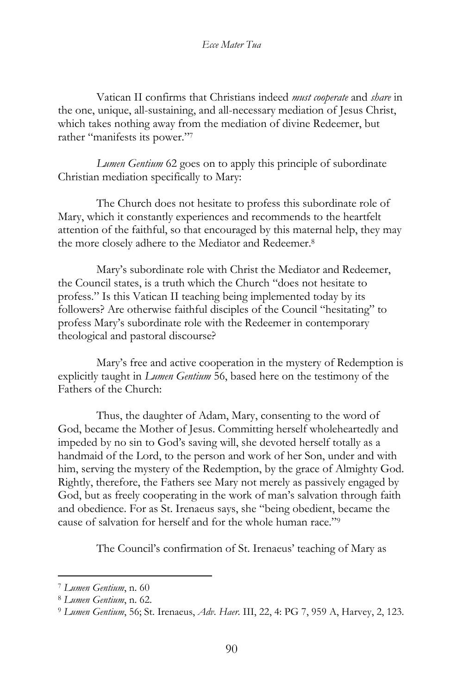Vatican II confirms that Christians indeed *must cooperate* and *share* in the one, unique, all-sustaining, and all-necessary mediation of Jesus Christ, which takes nothing away from the mediation of divine Redeemer, but rather "manifests its power."<sup>7</sup>

*Lumen Gentium* 62 goes on to apply this principle of subordinate Christian mediation specifically to Mary:

The Church does not hesitate to profess this subordinate role of Mary, which it constantly experiences and recommends to the heartfelt attention of the faithful, so that encouraged by this maternal help, they may the more closely adhere to the Mediator and Redeemer.<sup>8</sup>

Mary's subordinate role with Christ the Mediator and Redeemer, the Council states, is a truth which the Church "does not hesitate to profess." Is this Vatican II teaching being implemented today by its followers? Are otherwise faithful disciples of the Council "hesitating" to profess Mary's subordinate role with the Redeemer in contemporary theological and pastoral discourse?

Mary's free and active cooperation in the mystery of Redemption is explicitly taught in *Lumen Gentium* 56, based here on the testimony of the Fathers of the Church:

Thus, the daughter of Adam, Mary, consenting to the word of God, became the Mother of Jesus. Committing herself wholeheartedly and impeded by no sin to God's saving will, she devoted herself totally as a handmaid of the Lord, to the person and work of her Son, under and with him, serving the mystery of the Redemption, by the grace of Almighty God. Rightly, therefore, the Fathers see Mary not merely as passively engaged by God, but as freely cooperating in the work of man's salvation through faith and obedience. For as St. Irenaeus says, she "being obedient, became the cause of salvation for herself and for the whole human race."<sup>9</sup>

The Council's confirmation of St. Irenaeus' teaching of Mary as

<sup>7</sup> *Lumen Gentium*, n. 60

<sup>8</sup> *Lumen Gentium*, n. 62.

<sup>9</sup> *Lumen Gentium*, 56; St. Irenaeus, *Adv. Haer*. III, 22, 4: PG 7, 959 A, Harvey, 2, 123.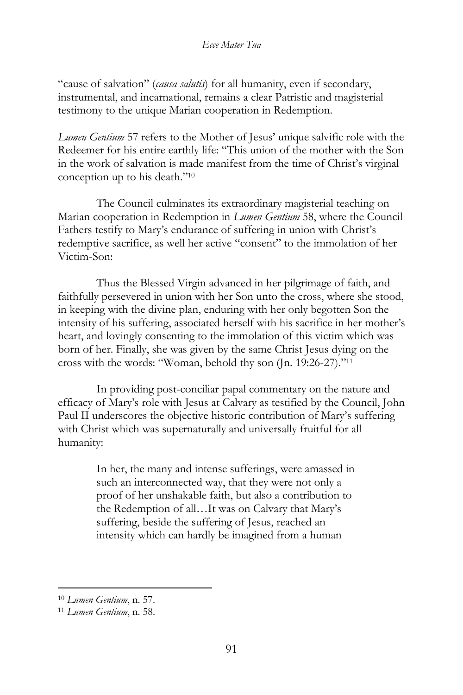"cause of salvation" (*causa salutis*) for all humanity, even if secondary, instrumental, and incarnational, remains a clear Patristic and magisterial testimony to the unique Marian cooperation in Redemption.

*Lumen Gentium* 57 refers to the Mother of Jesus' unique salvific role with the Redeemer for his entire earthly life: "This union of the mother with the Son in the work of salvation is made manifest from the time of Christ's virginal conception up to his death."<sup>10</sup>

The Council culminates its extraordinary magisterial teaching on Marian cooperation in Redemption in *Lumen Gentium* 58, where the Council Fathers testify to Mary's endurance of suffering in union with Christ's redemptive sacrifice, as well her active "consent" to the immolation of her Victim-Son:

Thus the Blessed Virgin advanced in her pilgrimage of faith, and faithfully persevered in union with her Son unto the cross, where she stood, in keeping with the divine plan, enduring with her only begotten Son the intensity of his suffering, associated herself with his sacrifice in her mother's heart, and lovingly consenting to the immolation of this victim which was born of her. Finally, she was given by the same Christ Jesus dying on the cross with the words: "Woman, behold thy son (Jn. 19:26-27)."<sup>11</sup>

In providing post-conciliar papal commentary on the nature and efficacy of Mary's role with Jesus at Calvary as testified by the Council, John Paul II underscores the objective historic contribution of Mary's suffering with Christ which was supernaturally and universally fruitful for all humanity:

> In her, the many and intense sufferings, were amassed in such an interconnected way, that they were not only a proof of her unshakable faith, but also a contribution to the Redemption of all…It was on Calvary that Mary's suffering, beside the suffering of Jesus, reached an intensity which can hardly be imagined from a human

<sup>10</sup> *Lumen Gentium*, n. 57.

<sup>11</sup> *Lumen Gentium*, n. 58.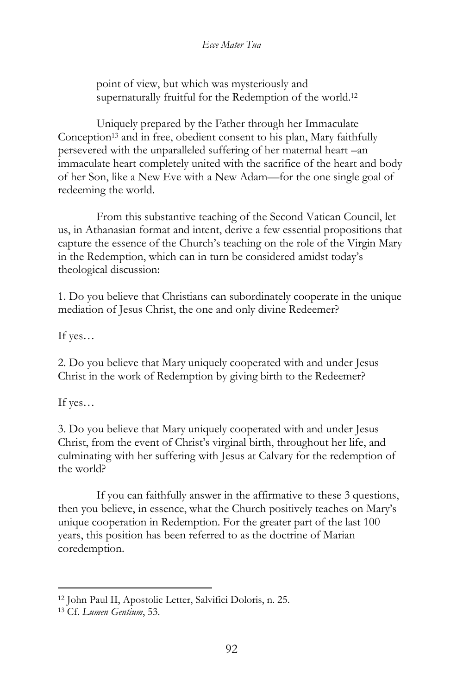point of view, but which was mysteriously and supernaturally fruitful for the Redemption of the world.<sup>12</sup>

Uniquely prepared by the Father through her Immaculate Conception<sup>13</sup> and in free, obedient consent to his plan, Mary faithfully persevered with the unparalleled suffering of her maternal heart –an immaculate heart completely united with the sacrifice of the heart and body of her Son, like a New Eve with a New Adam—for the one single goal of redeeming the world.

From this substantive teaching of the Second Vatican Council, let us, in Athanasian format and intent, derive a few essential propositions that capture the essence of the Church's teaching on the role of the Virgin Mary in the Redemption, which can in turn be considered amidst today's theological discussion:

1. Do you believe that Christians can subordinately cooperate in the unique mediation of Jesus Christ, the one and only divine Redeemer?

If yes…

2. Do you believe that Mary uniquely cooperated with and under Jesus Christ in the work of Redemption by giving birth to the Redeemer?

If yes…

3. Do you believe that Mary uniquely cooperated with and under Jesus Christ, from the event of Christ's virginal birth, throughout her life, and culminating with her suffering with Jesus at Calvary for the redemption of the world?

If you can faithfully answer in the affirmative to these 3 questions, then you believe, in essence, what the Church positively teaches on Mary's unique cooperation in Redemption. For the greater part of the last 100 years, this position has been referred to as the doctrine of Marian coredemption.

<sup>12</sup> John Paul II, Apostolic Letter, Salvifici Doloris, n. 25.

<sup>13</sup> Cf. *Lumen Gentium*, 53.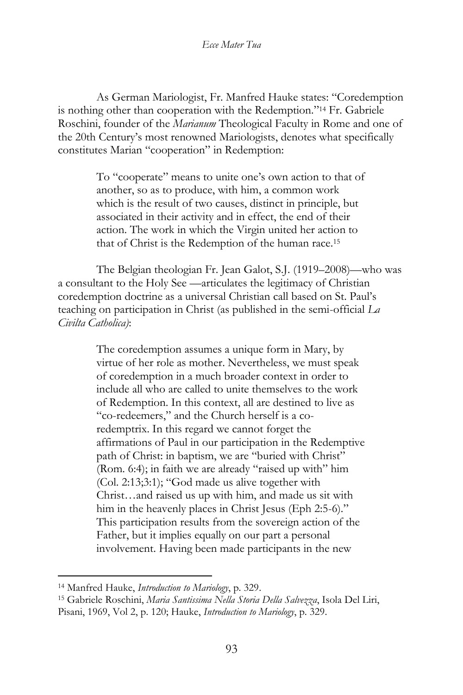As German Mariologist, Fr. Manfred Hauke states: "Coredemption is nothing other than cooperation with the Redemption."<sup>14</sup> Fr. Gabriele Roschini, founder of the *Marianum* Theological Faculty in Rome and one of the 20th Century's most renowned Mariologists, denotes what specifically constitutes Marian "cooperation" in Redemption:

> To "cooperate" means to unite one's own action to that of another, so as to produce, with him, a common work which is the result of two causes, distinct in principle, but associated in their activity and in effect, the end of their action. The work in which the Virgin united her action to that of Christ is the Redemption of the human race.<sup>15</sup>

The Belgian theologian Fr. Jean Galot, S.J. (1919–2008)—who was a consultant to the Holy See —articulates the legitimacy of Christian coredemption doctrine as a universal Christian call based on St. Paul's teaching on participation in Christ (as published in the semi-official *La Civilta Catholica)*:

> The coredemption assumes a unique form in Mary, by virtue of her role as mother. Nevertheless, we must speak of coredemption in a much broader context in order to include all who are called to unite themselves to the work of Redemption. In this context, all are destined to live as "co-redeemers," and the Church herself is a coredemptrix. In this regard we cannot forget the affirmations of Paul in our participation in the Redemptive path of Christ: in baptism, we are "buried with Christ" (Rom. 6:4); in faith we are already "raised up with" him (Col. 2:13;3:1); "God made us alive together with Christ…and raised us up with him, and made us sit with him in the heavenly places in Christ Jesus (Eph 2:5-6)." This participation results from the sovereign action of the Father, but it implies equally on our part a personal involvement. Having been made participants in the new

<sup>14</sup> Manfred Hauke, *Introduction to Mariology*, p. 329.

<sup>15</sup> Gabriele Roschini, *Maria Santissima Nella Storia Della Salvezza*, Isola Del Liri, Pisani, 1969, Vol 2, p. 120; Hauke, *Introduction to Mariology*, p. 329.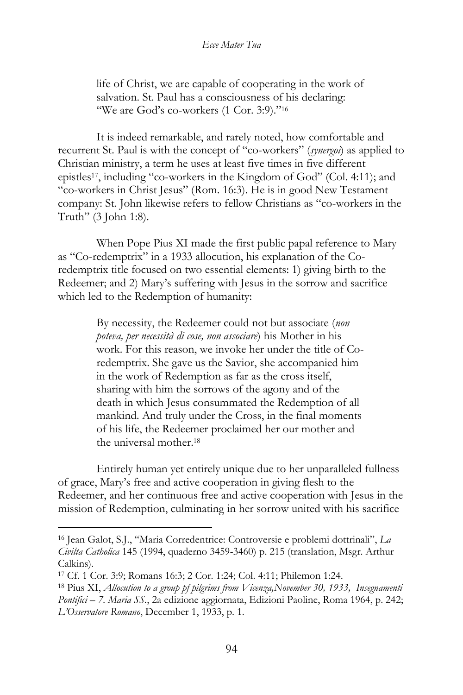life of Christ, we are capable of cooperating in the work of salvation. St. Paul has a consciousness of his declaring: "We are God's co-workers (1 Cor. 3:9)."<sup>16</sup>

It is indeed remarkable, and rarely noted, how comfortable and recurrent St. Paul is with the concept of "co-workers" (*synergoi*) as applied to Christian ministry, a term he uses at least five times in five different epistles17, including "co-workers in the Kingdom of God" (Col. 4:11); and "co-workers in Christ Jesus" (Rom. 16:3). He is in good New Testament company: St. John likewise refers to fellow Christians as "co-workers in the Truth" (3 John 1:8).

When Pope Pius XI made the first public papal reference to Mary as "Co-redemptrix" in a 1933 allocution, his explanation of the Coredemptrix title focused on two essential elements: 1) giving birth to the Redeemer; and 2) Mary's suffering with Jesus in the sorrow and sacrifice which led to the Redemption of humanity:

> By necessity, the Redeemer could not but associate (*non poteva, per necessità di cose, non associare*) his Mother in his work. For this reason, we invoke her under the title of Coredemptrix. She gave us the Savior, she accompanied him in the work of Redemption as far as the cross itself, sharing with him the sorrows of the agony and of the death in which Jesus consummated the Redemption of all mankind. And truly under the Cross, in the final moments of his life, the Redeemer proclaimed her our mother and the universal mother. 18

Entirely human yet entirely unique due to her unparalleled fullness of grace, Mary's free and active cooperation in giving flesh to the Redeemer, and her continuous free and active cooperation with Jesus in the mission of Redemption, culminating in her sorrow united with his sacrifice

<sup>16</sup> Jean Galot, S.J., "Maria Corredentrice: Controversie e problemi dottrinali", *La Civilta Catholica* 145 (1994, quaderno 3459-3460) p. 215 (translation, Msgr. Arthur Calkins).

<sup>17</sup> Cf. 1 Cor. 3:9; Romans 16:3; 2 Cor. 1:24; Col. 4:11; Philemon 1:24.

<sup>18</sup> Pius XI, *Allocution to a group pf pilgrims from Vicenza,November 30, 1933, Insegnamenti Pontifici* – *7. Maria SS.*, 2a edizione aggiornata, Edizioni Paoline, Roma 1964, p. 242; *L'Osservatore Romano*, December 1, 1933, p. 1.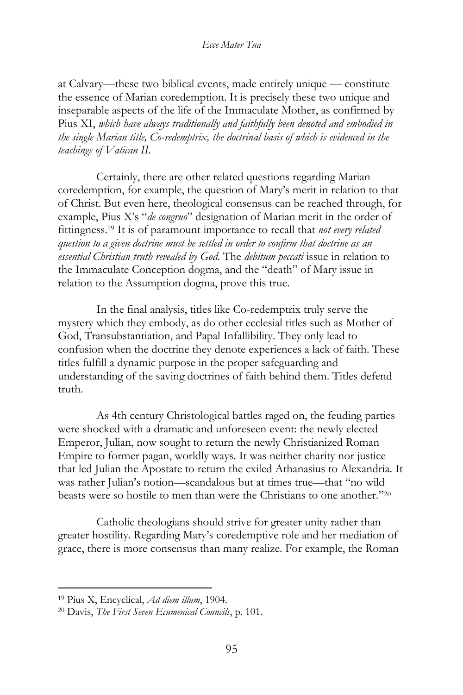at Calvary—these two biblical events, made entirely unique — constitute the essence of Marian coredemption. It is precisely these two unique and inseparable aspects of the life of the Immaculate Mother, as confirmed by Pius XI, *which have always traditionally and faithfully been denoted and embodied in the single Marian title, Co-redemptrix, the doctrinal basis of which is evidenced in the teachings of Vatican II.* 

Certainly, there are other related questions regarding Marian coredemption, for example, the question of Mary's merit in relation to that of Christ. But even here, theological consensus can be reached through, for example, Pius X's "*de congruo*" designation of Marian merit in the order of fittingness.<sup>19</sup> It is of paramount importance to recall that *not every related question to a given doctrine must be settled in order to confirm that doctrine as an essential Christian truth revealed by God*. The *debitum peccati* issue in relation to the Immaculate Conception dogma, and the "death" of Mary issue in relation to the Assumption dogma, prove this true.

In the final analysis, titles like Co-redemptrix truly serve the mystery which they embody, as do other ecclesial titles such as Mother of God, Transubstantiation, and Papal Infallibility. They only lead to confusion when the doctrine they denote experiences a lack of faith. These titles fulfill a dynamic purpose in the proper safeguarding and understanding of the saving doctrines of faith behind them. Titles defend truth.

As 4th century Christological battles raged on, the feuding parties were shocked with a dramatic and unforeseen event: the newly elected Emperor, Julian, now sought to return the newly Christianized Roman Empire to former pagan, worldly ways. It was neither charity nor justice that led Julian the Apostate to return the exiled Athanasius to Alexandria. It was rather Julian's notion—scandalous but at times true—that "no wild beasts were so hostile to men than were the Christians to one another."<sup>20</sup>

Catholic theologians should strive for greater unity rather than greater hostility. Regarding Mary's coredemptive role and her mediation of grace, there is more consensus than many realize. For example, the Roman

<sup>19</sup> Pius X, Encyclical, *Ad diem illum*, 1904.

<sup>20</sup> Davis, *The First Seven Ecumenical Councils*, p. 101.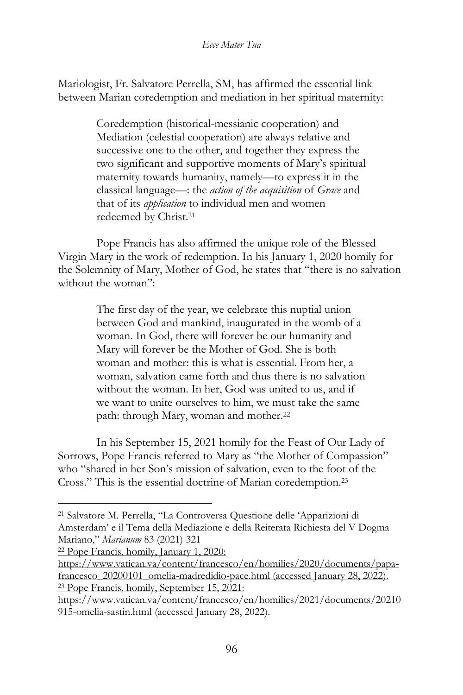Mariologist, Fr. Salvatore Perrella, SM, has affirmed the essential link between Marian coredemption and mediation in her spiritual maternity:

> Coredemption (historical-messianic cooperation) and Mediation (celestial cooperation) are always relative and successive one to the other, and together they express the two significant and supportive moments of Mary's spiritual maternity towards humanity, namely—to express it in the classical language—: the *action of the acquisition* of *Grace* and that of its *application* to individual men and women redeemed by Christ. 21

Pope Francis has also affirmed the unique role of the Blessed Virgin Mary in the work of redemption. In his January 1, 2020 homily for the Solemnity of Mary, Mother of God, he states that "there is no salvation without the woman":

> The first day of the year, we celebrate this nuptial union between God and mankind, inaugurated in the womb of a woman. In God, there will forever be our humanity and Mary will forever be the Mother of God. She is both woman and mother: this is what is essential. From her, a woman, salvation came forth and thus there is no salvation without the woman. In her, God was united to us, and if we want to unite ourselves to him, we must take the same path: through Mary, woman and mother.<sup>22</sup>

In his September 15, 2021 homily for the Feast of Our Lady of Sorrows, Pope Francis referred to Mary as "the Mother of Compassion" who "shared in her Son's mission of salvation, even to the foot of the Cross." This is the essential doctrine of Marian coredemption.<sup>23</sup>

<sup>22</sup> Pope Francis, homily, January 1, 2020:

<sup>21</sup> Salvatore M. Perrella, "La Controversa Questione delle 'Apparizioni di Amsterdam' e il Tema della Mediazione e della Reiterata Richiesta del V Dogma Mariano," *Marianum* 83 (2021) 321

[https://www.vatican.va/content/francesco/en/homilies/2020/documents/papa](https://www.vatican.va/content/francesco/en/homilies/2020/documents/papa-francesco_20200101_omelia-madredidio-pace.html)[francesco\\_20200101\\_omelia-madredidio-pace.html](https://www.vatican.va/content/francesco/en/homilies/2020/documents/papa-francesco_20200101_omelia-madredidio-pace.html) (accessed January 28, 2022). <sup>23</sup> Pope Francis, homily, September 15, 2021:

[https://www.vatican.va/content/francesco/en/homilies/2021/documents/20210](https://www.vatican.va/content/francesco/en/homilies/2021/documents/20210915-omelia-sastin.html) [915-omelia-sastin.html](https://www.vatican.va/content/francesco/en/homilies/2021/documents/20210915-omelia-sastin.html) (accessed January 28, 2022).